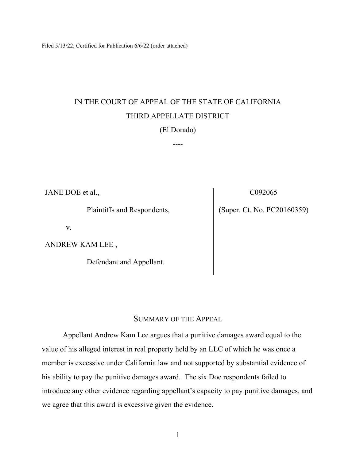Filed 5/13/22; Certified for Publication 6/6/22 (order attached)

# IN THE COURT OF APPEAL OF THE STATE OF CALIFORNIA THIRD APPELLATE DISTRICT

(El Dorado)

----

JANE DOE et al.,

Plaintiffs and Respondents,

v.

ANDREW KAM LEE ,

Defendant and Appellant.

C092065

(Super. Ct. No. PC20160359)

### SUMMARY OF THE APPEAL

Appellant Andrew Kam Lee argues that a punitive damages award equal to the value of his alleged interest in real property held by an LLC of which he was once a member is excessive under California law and not supported by substantial evidence of his ability to pay the punitive damages award. The six Doe respondents failed to introduce any other evidence regarding appellant's capacity to pay punitive damages, and we agree that this award is excessive given the evidence.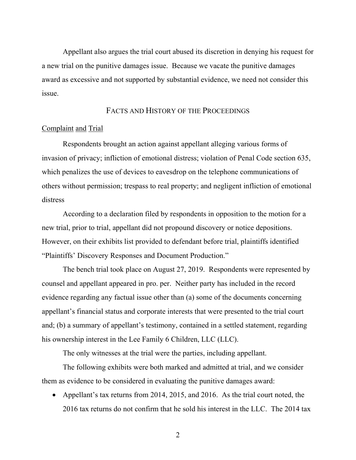Appellant also argues the trial court abused its discretion in denying his request for a new trial on the punitive damages issue. Because we vacate the punitive damages award as excessive and not supported by substantial evidence, we need not consider this issue.

### FACTS AND HISTORY OF THE PROCEEDINGS

#### Complaint and Trial

 Respondents brought an action against appellant alleging various forms of invasion of privacy; infliction of emotional distress; violation of Penal Code section 635, which penalizes the use of devices to eavesdrop on the telephone communications of others without permission; trespass to real property; and negligent infliction of emotional distress

 According to a declaration filed by respondents in opposition to the motion for a new trial, prior to trial, appellant did not propound discovery or notice depositions. However, on their exhibits list provided to defendant before trial, plaintiffs identified "Plaintiffs' Discovery Responses and Document Production."

 The bench trial took place on August 27, 2019. Respondents were represented by counsel and appellant appeared in pro. per. Neither party has included in the record evidence regarding any factual issue other than (a) some of the documents concerning appellant's financial status and corporate interests that were presented to the trial court and; (b) a summary of appellant's testimony, contained in a settled statement, regarding his ownership interest in the Lee Family 6 Children, LLC (LLC).

The only witnesses at the trial were the parties, including appellant.

 The following exhibits were both marked and admitted at trial, and we consider them as evidence to be considered in evaluating the punitive damages award:

• Appellant's tax returns from 2014, 2015, and 2016. As the trial court noted, the 2016 tax returns do not confirm that he sold his interest in the LLC. The 2014 tax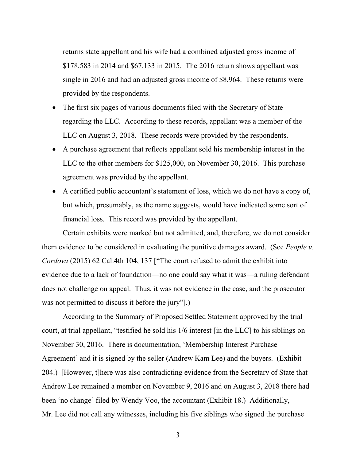returns state appellant and his wife had a combined adjusted gross income of \$178,583 in 2014 and \$67,133 in 2015. The 2016 return shows appellant was single in 2016 and had an adjusted gross income of \$8,964. These returns were provided by the respondents.

- The first six pages of various documents filed with the Secretary of State regarding the LLC. According to these records, appellant was a member of the LLC on August 3, 2018. These records were provided by the respondents.
- A purchase agreement that reflects appellant sold his membership interest in the LLC to the other members for \$125,000, on November 30, 2016. This purchase agreement was provided by the appellant.
- A certified public accountant's statement of loss, which we do not have a copy of, but which, presumably, as the name suggests, would have indicated some sort of financial loss. This record was provided by the appellant.

Certain exhibits were marked but not admitted, and, therefore, we do not consider them evidence to be considered in evaluating the punitive damages award. (See *People v. Cordova* (2015) 62 Cal.4th 104, 137 ["The court refused to admit the exhibit into evidence due to a lack of foundation—no one could say what it was—a ruling defendant does not challenge on appeal. Thus, it was not evidence in the case, and the prosecutor was not permitted to discuss it before the jury"].)

According to the Summary of Proposed Settled Statement approved by the trial court, at trial appellant, "testified he sold his 1/6 interest [in the LLC] to his siblings on November 30, 2016. There is documentation, 'Membership Interest Purchase Agreement' and it is signed by the seller (Andrew Kam Lee) and the buyers. (Exhibit 204.) [However, t]here was also contradicting evidence from the Secretary of State that Andrew Lee remained a member on November 9, 2016 and on August 3, 2018 there had been 'no change' filed by Wendy Voo, the accountant (Exhibit 18.) Additionally, Mr. Lee did not call any witnesses, including his five siblings who signed the purchase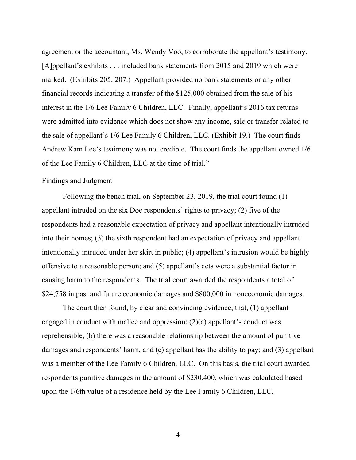agreement or the accountant, Ms. Wendy Voo, to corroborate the appellant's testimony. [A]ppellant's exhibits . . . included bank statements from 2015 and 2019 which were marked. (Exhibits 205, 207.) Appellant provided no bank statements or any other financial records indicating a transfer of the \$125,000 obtained from the sale of his interest in the 1/6 Lee Family 6 Children, LLC. Finally, appellant's 2016 tax returns were admitted into evidence which does not show any income, sale or transfer related to the sale of appellant's 1/6 Lee Family 6 Children, LLC. (Exhibit 19.) The court finds Andrew Kam Lee's testimony was not credible. The court finds the appellant owned 1/6 of the Lee Family 6 Children, LLC at the time of trial."

#### Findings and Judgment

 Following the bench trial, on September 23, 2019, the trial court found (1) appellant intruded on the six Doe respondents' rights to privacy; (2) five of the respondents had a reasonable expectation of privacy and appellant intentionally intruded into their homes; (3) the sixth respondent had an expectation of privacy and appellant intentionally intruded under her skirt in public; (4) appellant's intrusion would be highly offensive to a reasonable person; and (5) appellant's acts were a substantial factor in causing harm to the respondents. The trial court awarded the respondents a total of \$24,758 in past and future economic damages and \$800,000 in noneconomic damages.

 The court then found, by clear and convincing evidence, that, (1) appellant engaged in conduct with malice and oppression; (2)(a) appellant's conduct was reprehensible, (b) there was a reasonable relationship between the amount of punitive damages and respondents' harm, and (c) appellant has the ability to pay; and (3) appellant was a member of the Lee Family 6 Children, LLC. On this basis, the trial court awarded respondents punitive damages in the amount of \$230,400, which was calculated based upon the 1/6th value of a residence held by the Lee Family 6 Children, LLC.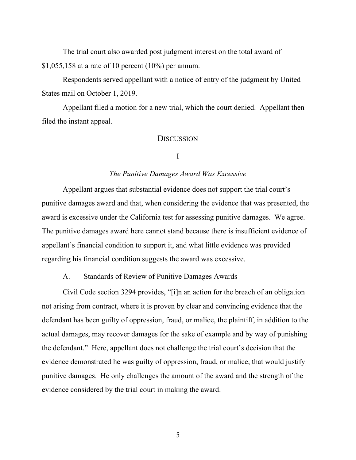The trial court also awarded post judgment interest on the total award of \$1,055,158 at a rate of 10 percent (10%) per annum.

 Respondents served appellant with a notice of entry of the judgment by United States mail on October 1, 2019.

 Appellant filed a motion for a new trial, which the court denied. Appellant then filed the instant appeal.

#### **DISCUSSION**

#### I

#### *The Punitive Damages Award Was Excessive*

 Appellant argues that substantial evidence does not support the trial court's punitive damages award and that, when considering the evidence that was presented, the award is excessive under the California test for assessing punitive damages. We agree. The punitive damages award here cannot stand because there is insufficient evidence of appellant's financial condition to support it, and what little evidence was provided regarding his financial condition suggests the award was excessive.

#### A. Standards of Review of Punitive Damages Awards

 Civil Code section 3294 provides, "[i]n an action for the breach of an obligation not arising from contract, where it is proven by clear and convincing evidence that the defendant has been guilty of oppression, fraud, or malice, the plaintiff, in addition to the actual damages, may recover damages for the sake of example and by way of punishing the defendant." Here, appellant does not challenge the trial court's decision that the evidence demonstrated he was guilty of oppression, fraud, or malice, that would justify punitive damages. He only challenges the amount of the award and the strength of the evidence considered by the trial court in making the award.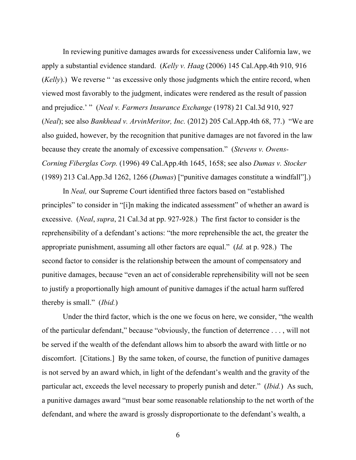In reviewing punitive damages awards for excessiveness under California law, we apply a substantial evidence standard. (*Kelly v. Haag* (2006) 145 Cal.App.4th 910, 916 (*Kelly*).) We reverse " 'as excessive only those judgments which the entire record, when viewed most favorably to the judgment, indicates were rendered as the result of passion and prejudice.' " (*Neal v. Farmers Insurance Exchange* (1978) 21 Cal.3d 910, 927 (*Neal*); see also *Bankhead v. ArvinMeritor, Inc.* (2012) 205 Cal.App.4th 68, 77.) "We are also guided, however, by the recognition that punitive damages are not favored in the law because they create the anomaly of excessive compensation." (*Stevens v. Owens-Corning Fiberglas Corp.* (1996) 49 Cal.App.4th 1645, 1658; see also *Dumas v. Stocker* (1989) 213 Cal.App.3d 1262, 1266 (*Dumas*) ["punitive damages constitute a windfall"].)

In *Neal,* our Supreme Court identified three factors based on "established principles" to consider in "[i]n making the indicated assessment" of whether an award is excessive. (*Neal*, *supra*, 21 Cal.3d at pp. 927-928.) The first factor to consider is the reprehensibility of a defendant's actions: "the more reprehensible the act, the greater the appropriate punishment, assuming all other factors are equal." (*Id.* at p. 928.) The second factor to consider is the relationship between the amount of compensatory and punitive damages, because "even an act of considerable reprehensibility will not be seen to justify a proportionally high amount of punitive damages if the actual harm suffered thereby is small." (*Ibid.*)

Under the third factor, which is the one we focus on here, we consider, "the wealth of the particular defendant," because "obviously, the function of deterrence . . . , will not be served if the wealth of the defendant allows him to absorb the award with little or no discomfort. [Citations.] By the same token, of course, the function of punitive damages is not served by an award which, in light of the defendant's wealth and the gravity of the particular act, exceeds the level necessary to properly punish and deter." (*Ibid.*) As such, a punitive damages award "must bear some reasonable relationship to the net worth of the defendant, and where the award is grossly disproportionate to the defendant's wealth, a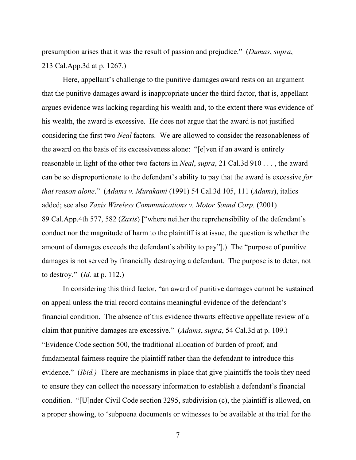presumption arises that it was the result of passion and prejudice." (*Dumas*, *supra*, 213 Cal.App.3d at p. 1267.)

Here, appellant's challenge to the punitive damages award rests on an argument that the punitive damages award is inappropriate under the third factor, that is, appellant argues evidence was lacking regarding his wealth and, to the extent there was evidence of his wealth, the award is excessive. He does not argue that the award is not justified considering the first two *Neal* factors. We are allowed to consider the reasonableness of the award on the basis of its excessiveness alone: "[e]ven if an award is entirely reasonable in light of the other two factors in *Neal*, *supra*, 21 Cal.3d 910 . . . , the award can be so disproportionate to the defendant's ability to pay that the award is excessive *for that reason alone*." (*Adams v. Murakami* (1991) 54 Cal.3d 105, 111 (*Adams*), italics added; see also *Zaxis Wireless Communications v. Motor Sound Corp.* (2001) 89 Cal.App.4th 577, 582 (*Zaxis*) ["where neither the reprehensibility of the defendant's conduct nor the magnitude of harm to the plaintiff is at issue, the question is whether the amount of damages exceeds the defendant's ability to pay"].) The "purpose of punitive damages is not served by financially destroying a defendant. The purpose is to deter, not to destroy." (*Id.* at p. 112.)

In considering this third factor, "an award of punitive damages cannot be sustained on appeal unless the trial record contains meaningful evidence of the defendant's financial condition. The absence of this evidence thwarts effective appellate review of a claim that punitive damages are excessive." (*Adams*, *supra*, 54 Cal.3d at p. 109.) "Evidence Code section 500, the traditional allocation of burden of proof, and fundamental fairness require the plaintiff rather than the defendant to introduce this evidence." (*Ibid.)* There are mechanisms in place that give plaintiffs the tools they need to ensure they can collect the necessary information to establish a defendant's financial condition. "[U]nder Civil Code section 3295, subdivision (c), the plaintiff is allowed, on a proper showing, to 'subpoena documents or witnesses to be available at the trial for the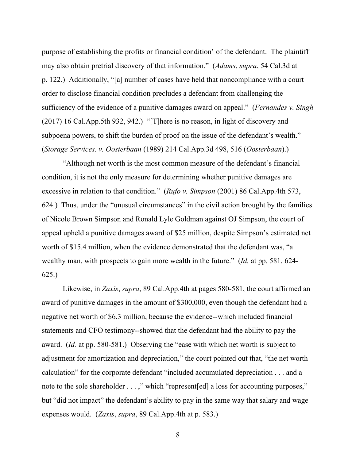purpose of establishing the profits or financial condition' of the defendant. The plaintiff may also obtain pretrial discovery of that information." (*Adams*, *supra*, 54 Cal.3d at p. 122.) Additionally, "[a] number of cases have held that noncompliance with a court order to disclose financial condition precludes a defendant from challenging the sufficiency of the evidence of a punitive damages award on appeal." (*Fernandes v. Singh*  (2017) 16 Cal.App.5th 932, 942.) "[T]here is no reason, in light of discovery and subpoena powers, to shift the burden of proof on the issue of the defendant's wealth." (*Storage Services. v. Oosterbaan* (1989) 214 Cal.App.3d 498, 516 (*Oosterbaan*).)

"Although net worth is the most common measure of the defendant's financial condition, it is not the only measure for determining whether punitive damages are excessive in relation to that condition." (*Rufo v. Simpson* (2001) 86 Cal.App.4th 573, 624.) Thus, under the "unusual circumstances" in the civil action brought by the families of Nicole Brown Simpson and Ronald Lyle Goldman against OJ Simpson, the court of appeal upheld a punitive damages award of \$25 million, despite Simpson's estimated net worth of \$15.4 million, when the evidence demonstrated that the defendant was, "a wealthy man, with prospects to gain more wealth in the future." (*Id.* at pp. 581, 624- 625.)

Likewise, in *Zaxis*, *supra*, 89 Cal.App.4th at pages 580-581, the court affirmed an award of punitive damages in the amount of \$300,000, even though the defendant had a negative net worth of \$6.3 million, because the evidence--which included financial statements and CFO testimony--showed that the defendant had the ability to pay the award. (*Id.* at pp. 580-581.) Observing the "ease with which net worth is subject to adjustment for amortization and depreciation," the court pointed out that, "the net worth calculation" for the corporate defendant "included accumulated depreciation . . . and a note to the sole shareholder . . . ," which "represent [ed] a loss for accounting purposes," but "did not impact" the defendant's ability to pay in the same way that salary and wage expenses would. (*Zaxis*, *supra*, 89 Cal.App.4th at p. 583.)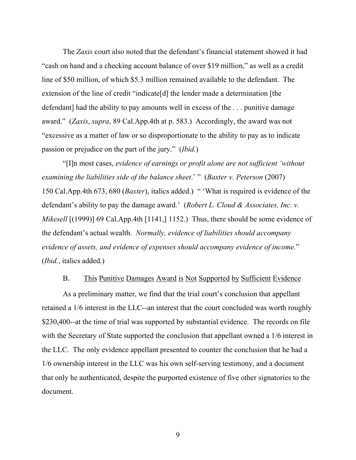The *Zaxis* court also noted that the defendant's financial statement showed it had "cash on hand and a checking account balance of over \$19 million," as well as a credit line of \$50 million, of which \$5.3 million remained available to the defendant. The extension of the line of credit "indicate[d] the lender made a determination [the defendant] had the ability to pay amounts well in excess of the ... punitive damage award." (*Zaxis*, *supra*, 89 Cal.App.4th at p. 583.) Accordingly, the award was not "excessive as a matter of law or so disproportionate to the ability to pay as to indicate passion or prejudice on the part of the jury." (*Ibid.*)

 "[I]n most cases, *evidence of earnings or profit alone are not sufficient 'without examining the liabilities side of the balance sheet*.' " (*Baxter v. Peterson* (2007) 150 Cal.App.4th 673, 680 (*Baxter*), italics added.) " 'What is required is evidence of the defendant's ability to pay the damage award.' (*Robert L. Cloud & Associates, Inc. v. Mikesell* [(1999)] 69 Cal.App.4th [1141,] 1152.) Thus, there should be some evidence of the defendant's actual wealth. *Normally, evidence of liabilities should accompany evidence of assets, and evidence of expenses should accompany evidence of income.*" (*Ibid.*, italics added.)

#### B. This Punitive Damages Award is Not Supported by Sufficient Evidence

 As a preliminary matter, we find that the trial court's conclusion that appellant retained a 1/6 interest in the LLC--an interest that the court concluded was worth roughly \$230,400--at the time of trial was supported by substantial evidence. The records on file with the Secretary of State supported the conclusion that appellant owned a 1/6 interest in the LLC. The only evidence appellant presented to counter the conclusion that he had a 1/6 ownership interest in the LLC was his own self-serving testimony, and a document that only he authenticated, despite the purported existence of five other signatories to the document.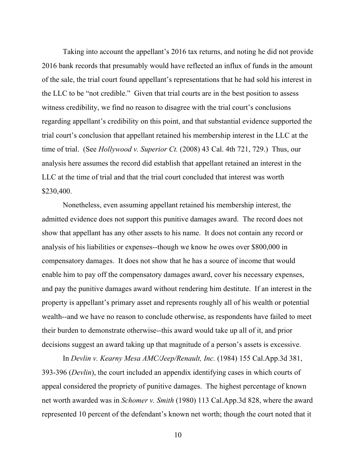Taking into account the appellant's 2016 tax returns, and noting he did not provide 2016 bank records that presumably would have reflected an influx of funds in the amount of the sale, the trial court found appellant's representations that he had sold his interest in the LLC to be "not credible." Given that trial courts are in the best position to assess witness credibility, we find no reason to disagree with the trial court's conclusions regarding appellant's credibility on this point, and that substantial evidence supported the trial court's conclusion that appellant retained his membership interest in the LLC at the time of trial. (See *Hollywood v. Superior Ct.* (2008) 43 Cal. 4th 721, 729.) Thus, our analysis here assumes the record did establish that appellant retained an interest in the LLC at the time of trial and that the trial court concluded that interest was worth \$230,400.

Nonetheless, even assuming appellant retained his membership interest, the admitted evidence does not support this punitive damages award. The record does not show that appellant has any other assets to his name. It does not contain any record or analysis of his liabilities or expenses--though we know he owes over \$800,000 in compensatory damages. It does not show that he has a source of income that would enable him to pay off the compensatory damages award, cover his necessary expenses, and pay the punitive damages award without rendering him destitute. If an interest in the property is appellant's primary asset and represents roughly all of his wealth or potential wealth--and we have no reason to conclude otherwise, as respondents have failed to meet their burden to demonstrate otherwise--this award would take up all of it, and prior decisions suggest an award taking up that magnitude of a person's assets is excessive.

In *Devlin v. Kearny Mesa AMC/Jeep/Renault, Inc.* (1984) 155 Cal.App.3d 381, 393-396 (*Devlin*), the court included an appendix identifying cases in which courts of appeal considered the propriety of punitive damages. The highest percentage of known net worth awarded was in *Schomer v. Smith* (1980) 113 Cal.App.3d 828, where the award represented 10 percent of the defendant's known net worth; though the court noted that it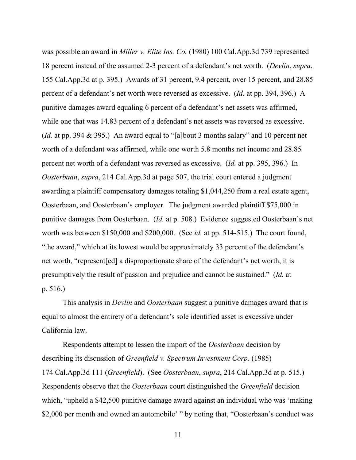was possible an award in *Miller v. Elite Ins. Co.* (1980) 100 Cal.App.3d 739 represented 18 percent instead of the assumed 2-3 percent of a defendant's net worth. (*Devlin*, *supra*, 155 Cal.App.3d at p. 395.) Awards of 31 percent, 9.4 percent, over 15 percent, and 28.85 percent of a defendant's net worth were reversed as excessive. (*Id.* at pp. 394, 396.) A punitive damages award equaling 6 percent of a defendant's net assets was affirmed, while one that was 14.83 percent of a defendant's net assets was reversed as excessive. (*Id.* at pp. 394 & 395.) An award equal to "[a]bout 3 months salary" and 10 percent net worth of a defendant was affirmed, while one worth 5.8 months net income and 28.85 percent net worth of a defendant was reversed as excessive. (*Id.* at pp. 395, 396.) In *Oosterbaan*, *supra*, 214 Cal.App.3d at page 507, the trial court entered a judgment awarding a plaintiff compensatory damages totaling \$1,044,250 from a real estate agent, Oosterbaan, and Oosterbaan's employer. The judgment awarded plaintiff \$75,000 in punitive damages from Oosterbaan. (*Id.* at p. 508.) Evidence suggested Oosterbaan's net worth was between \$150,000 and \$200,000. (See *id.* at pp. 514-515.) The court found, "the award," which at its lowest would be approximately 33 percent of the defendant's net worth, "represent[ed] a disproportionate share of the defendant's net worth, it is presumptively the result of passion and prejudice and cannot be sustained." (*Id.* at p. 516.)

This analysis in *Devlin* and *Oosterbaan* suggest a punitive damages award that is equal to almost the entirety of a defendant's sole identified asset is excessive under California law.

Respondents attempt to lessen the import of the *Oosterbaan* decision by describing its discussion of *Greenfield v. Spectrum Investment Corp.* (1985) 174 Cal.App.3d 111 (*Greenfield*). (See *Oosterbaan*, *supra*, 214 Cal.App.3d at p. 515.) Respondents observe that the *Oosterbaan* court distinguished the *Greenfield* decision which, "upheld a \$42,500 punitive damage award against an individual who was 'making' \$2,000 per month and owned an automobile' " by noting that, "Oosterbaan's conduct was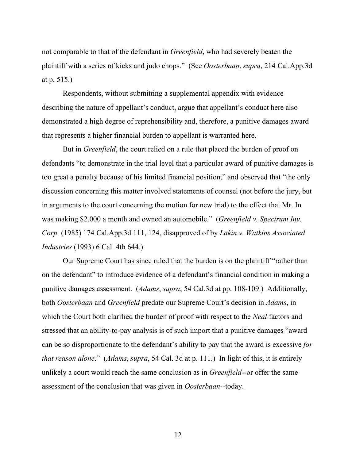not comparable to that of the defendant in *Greenfield*, who had severely beaten the plaintiff with a series of kicks and judo chops." (See *Oosterbaan*, *supra*, 214 Cal.App.3d at p. 515.)

Respondents, without submitting a supplemental appendix with evidence describing the nature of appellant's conduct, argue that appellant's conduct here also demonstrated a high degree of reprehensibility and, therefore, a punitive damages award that represents a higher financial burden to appellant is warranted here.

But in *Greenfield*, the court relied on a rule that placed the burden of proof on defendants "to demonstrate in the trial level that a particular award of punitive damages is too great a penalty because of his limited financial position," and observed that "the only discussion concerning this matter involved statements of counsel (not before the jury, but in arguments to the court concerning the motion for new trial) to the effect that Mr. In was making \$2,000 a month and owned an automobile." (*Greenfield v. Spectrum Inv. Corp.* (1985) 174 Cal.App.3d 111, 124, disapproved of by *Lakin v. Watkins Associated Industries* (1993) 6 Cal. 4th 644.)

Our Supreme Court has since ruled that the burden is on the plaintiff "rather than on the defendant" to introduce evidence of a defendant's financial condition in making a punitive damages assessment. (*Adams*, *supra*, 54 Cal.3d at pp. 108-109.) Additionally, both *Oosterbaan* and *Greenfield* predate our Supreme Court's decision in *Adams*, in which the Court both clarified the burden of proof with respect to the *Neal* factors and stressed that an ability-to-pay analysis is of such import that a punitive damages "award can be so disproportionate to the defendant's ability to pay that the award is excessive *for that reason alone*." (*Adams*, *supra*, 54 Cal. 3d at p. 111.) In light of this, it is entirely unlikely a court would reach the same conclusion as in *Greenfield*--or offer the same assessment of the conclusion that was given in *Oosterbaan*--today.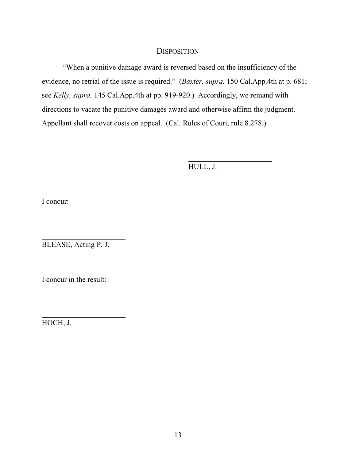## **DISPOSITION**

 "When a punitive damage award is reversed based on the insufficiency of the evidence, no retrial of the issue is required." (*Baxter, supra,* 150 Cal.App.4th at p. 681; see *Kelly, supra,* 145 Cal.App.4th at pp. 919-920.) Accordingly, we remand with directions to vacate the punitive damages award and otherwise affirm the judgment. Appellant shall recover costs on appeal. (Cal. Rules of Court, rule 8.278.)

HULL, J.

 $\overline{a}$ 

I concur:

 $\overline{\phantom{a}}$ 

 $\overline{\phantom{a}}$ 

BLEASE, Acting P. J.

I concur in the result:

HOCH, J.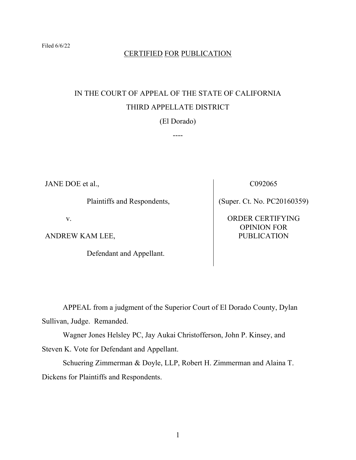## CERTIFIED FOR PUBLICATION

## IN THE COURT OF APPEAL OF THE STATE OF CALIFORNIA THIRD APPELLATE DISTRICT

(El Dorado)

----

JANE DOE et al.,

Plaintiffs and Respondents,

v.

ANDREW KAM LEE,

Defendant and Appellant.

C092065

(Super. Ct. No. PC20160359)

ORDER CERTIFYING OPINION FOR PUBLICATION

 APPEAL from a judgment of the Superior Court of El Dorado County, Dylan Sullivan, Judge. Remanded.

 Wagner Jones Helsley PC, Jay Aukai Christofferson, John P. Kinsey, and Steven K. Vote for Defendant and Appellant.

 Schuering Zimmerman & Doyle, LLP, Robert H. Zimmerman and Alaina T. Dickens for Plaintiffs and Respondents.